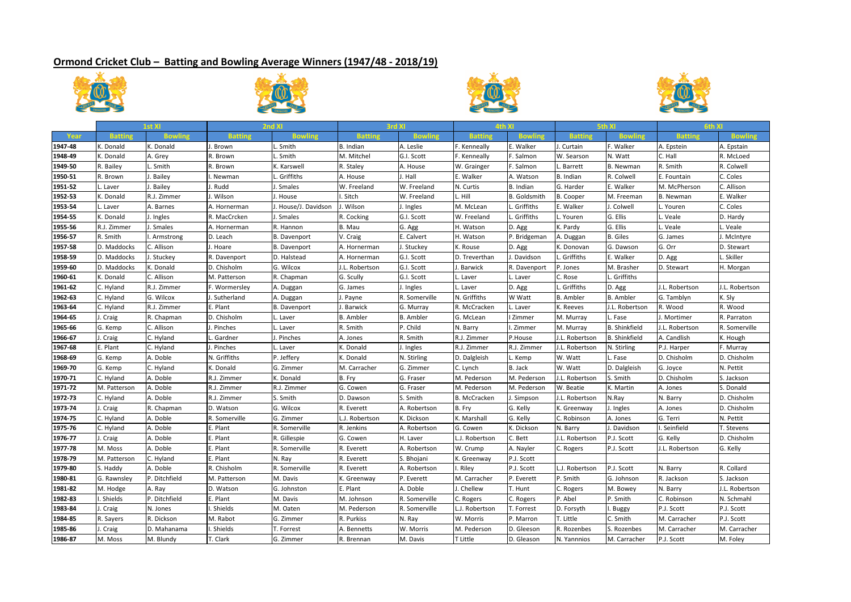## **Ormond Cricket Club – Batting and Bowling Average Winners (1947/48 ‐ 2018/19)**









|         | 1st XI         |               | 2nd XI         |                      | 3rd XI           |                  | 4th XI         |                     | 5th XI           |                      | 6th XI           |                |
|---------|----------------|---------------|----------------|----------------------|------------------|------------------|----------------|---------------------|------------------|----------------------|------------------|----------------|
| Year    | <b>Batting</b> |               | <b>Batting</b> | <b>Bowling</b>       | <b>Batting</b>   | <b>Bowling</b>   | <b>Batting</b> |                     | <b>Batting</b>   | <b>Bowling</b>       | <b>Batting</b>   |                |
| 1947-48 | . Donald       | K. Donald     | . Brown        | . Smith              | <b>B.</b> Indian | A. Leslie        | . Kenneally    | E. Walker           | J. Curtain       | F. Walker            | A. Epstein       | A. Epstain     |
| 1948-49 | K. Donald      | A. Grey       | R. Brown       | Smith                | M. Mitchel       | G.I. Scott       | F. Kenneally   | F. Salmon           | W. Searson       | N. Watt              | C. Hall          | R. McLoed      |
| 1949-50 | R. Bailey      | . Smith       | R. Brown       | K. Karswell          | R. Staley        | A. House         | W. Grainger    | F. Salmon           | <b>Barrett</b>   | B. Newman            | R. Smith         | R. Colwell     |
| 1950-51 | R. Brown       | Bailey        | Newman         | . Griffiths          | A. House         | J. Hall          | . Walker       | A. Watson           | B. Indian        | R. Colwell           | E. Fountain      | C. Coles       |
| 1951-52 | Laver          | Bailey        | . Rudd         | . Smales             | W. Freeland      | W. Freeland      | N. Curtis      | B. Indian           | G. Harder        | E. Walker            | M. McPherson     | C. Allison     |
| 1952-53 | K. Donald      | R.J. Zimmer   | . Wilson       | . House              | . Sitch          | W. Freeland      | . Hill         | <b>B.</b> Goldsmith | <b>B.</b> Cooper | M. Freeman           | <b>B.</b> Newman | E. Walker      |
| 1953-54 | Laver          | A. Barnes     | A. Hornerman   | J. House/J. Davidson | Wilson           | J. Ingles        | M. McLean      | . Griffiths         | E. Walker        | J. Colwell           | . Youren         | C. Coles       |
| 1954-55 | C. Donald      | Ingles        | R. MacCrcken   | . Smales             | R. Cocking       | G.I. Scott       | W. Freeland    | . Griffiths         | Youren           | G. Ellis             | . Veale          | D. Hardy       |
| 1955-56 | R.J. Zimmer    | Smales        | A. Hornerman   | R. Hannon            | B. Mau           | G. Agg           | H. Watson      | D. Agg              | K. Pardy         | G. Ellis             | . Veale          | . Veale        |
| 1956-57 | R. Smith       | Armstrong     | D. Leach       | <b>B.</b> Davenport  | V. Craig         | E. Calvert       | H. Watson      | P. Bridgeman        | A. Duggan        | <b>B.</b> Giles      | G. James         | . McIntyre     |
| 1957-58 | D. Maddocks    | C. Allison    | . Hoare        | <b>B.</b> Davenport  | A. Hornerman     | J. Stuckev       | C. Rouse       | D. Agg              | K. Donovan       | G. Dawson            | G. Orr           | D. Stewart     |
| 1958-59 | D. Maddocks    | Stuckey       | R. Davenport   | D. Halstead          | A. Hornerman     | G.I. Scott       | D. Treverthan  | I. Davidson         | Griffiths        | E. Walker            | D. Agg           | . Skiller      |
| 1959-60 | D. Maddocks    | . Donald      | D. Chisholm    | G. Wilcox            | J.L. Robertson   | G.I. Scott       | Barwick        | R. Davenport        | P. Jones         | M. Brasher           | D. Stewart       | H. Morgan      |
| 1960-61 | K. Donald      | C. Allison    | M. Patterson   | R. Chapman           | G. Scully        | G.I. Scott       | Laver          | L. Laver            | C. Rose          | L. Griffiths         |                  |                |
| 1961-62 | C. Hyland      | R.J. Zimmer   | F. Wormersley  | A. Duggan            | G. James         | J. Ingles        | Laver          | D. Agg              | Griffiths        | D. Agg               | J.L. Robertson   | J.L. Robertson |
| 1962-63 | C. Hyland      | G. Wilcox     | . Sutherland   | A. Duggan            | . Payne          | R. Somerville    | N. Griffiths   | W Watt              | <b>B.</b> Ambler | <b>B.</b> Ambler     | G. Tamblyn       | K. Sly         |
| 1963-64 | C. Hyland      | R.J. Zimmer   | E. Plant       | <b>B.</b> Davenport  | <b>Barwick</b>   | G. Murray        | R. McCracken   | Laver               | K. Reeves        | J.L. Robertson       | R. Wood          | R. Wood        |
| 1964-65 | . Craig        | R. Chapman    | D. Chisholm    | Laver                | <b>B.</b> Ambler | <b>B.</b> Ambler | G. McLean      | Zimmer              | M. Murray        | Fase                 | . Mortimer       | R. Parraton    |
| 1965-66 | G. Kemp        | C. Allison    | . Pinches      | Laver                | R. Smith         | P. Child         | N. Barry       | l. Zimmer           | M. Murray        | <b>B.</b> Shinkfield | I.L. Robertson   | R. Somerville  |
| 1966-67 | . Craig        | C. Hyland     | Gardner        | . Pinches            | A. Jones         | R. Smith         | R.J. Zimmer    | P.House             | J.L. Robertson   | <b>B.</b> Shinkfield | A. Candlish      | K. Hough       |
| 1967-68 | E. Plant       | C. Hyland     | . Pinches      | Laver                | K. Donald        | J. Ingles        | R.J. Zimmer    | R.J. Zimmer         | J.L. Robertson   | N. Stirling          | P.J. Harper      | F. Murray      |
| 1968-69 | G. Kemp        | A. Doble      | N. Griffiths   | P. Jeffery           | K. Donald        | N. Stirling      | D. Dalgleish   | Kemp                | W. Watt          | Fase                 | D. Chisholm      | D. Chisholm    |
| 1969-70 | G. Kemp        | C. Hyland     | K. Donald      | G. Zimmer            | M. Carracher     | G. Zimmer        | C. Lynch       | <b>B.</b> Jack      | W. Watt          | D. Dalgleish         | G. Joyce         | N. Pettit      |
| 1970-71 | C. Hyland      | A. Doble      | R.J. Zimmer    | K. Donald            | B. Fry           | G. Fraser        | M. Pederson    | M. Pederson         | J.L. Robertson   | S. Smith             | D. Chisholm      | S. Jackson     |
| 1971-72 | M. Patterson   | A. Doble      | R.J. Zimmer    | R.J. Zimmer          | G. Cowen         | G. Fraser        | M. Pederson    | M. Pederson         | W. Beatie        | K. Martin            | A. Jones         | S. Donald      |
| 1972-73 | C. Hyland      | A. Doble      | R.J. Zimmer    | S. Smith             | D. Dawson        | S. Smith         | B. McCracken   | J. Simpson          | J.L. Robertson   | N.Ray                | N. Barry         | D. Chisholm    |
| 1973-74 | . Craig        | R. Chapman    | D. Watson      | G. Wilcox            | R. Everett       | A. Robertson     | B. Fry         | G. Kelly            | K. Greenway      | J. Ingles            | A. Jones         | D. Chisholm    |
| 1974-75 | C. Hyland      | A. Doble      | R. Somerville  | G. Zimmer            | L.J. Robertson   | K. Dickson       | K. Marshall    | G. Kelly            | C. Robinson      | A. Jones             | G. Terri         | N. Pettit      |
| 1975-76 | C. Hyland      | A. Doble      | E. Plant       | R. Somerville        | R. Jenkins       | A. Robertson     | G. Cowen       | K. Dickson          | N. Barry         | . Davidson           | Seinfield        | T. Stevens     |
| 1976-77 | . Craig        | A. Doble      | . Plant        | R. Gillespie         | G. Cowen         | H. Laver         | J. Robertson   | C. Bett             | J.L. Robertson   | P.J. Scott           | G. Kelly         | D. Chisholm    |
| 1977-78 | M. Moss        | A. Doble      | . Plant        | R. Somerville        | R. Everett       | A. Robertson     | W. Crump       | A. Nayler           | C. Rogers        | P.J. Scott           | J.L. Robertson   | G. Kelly       |
| 1978-79 | M. Patterson   | C. Hyland     | . Plant        | N. Ray               | R. Everett       | S. Bhojani       | . Greenway     | P.J. Scott          |                  |                      |                  |                |
| 1979-80 | S. Haddy       | A. Doble      | R. Chisholm    | R. Somerville        | R. Everett       | A. Robertson     | Riley          | P.J. Scott          | L.J. Robertson   | P.J. Scott           | N. Barry         | R. Collard     |
| 1980-81 | G. Rawnsley    | P. Ditchfield | M. Patterson   | M. Davis             | K. Greenway      | P. Everett       | M. Carracher   | P. Everett          | P. Smith         | G. Johnson           | R. Jackson       | S. Jackson     |
| 1981-82 | M. Hodge       | A. Ray        | D. Watson      | G. Johnston          | E. Plant         | A. Doble         | . Chellew      | T. Hunt             | C. Rogers        | M. Bowey             | N. Barry         | J.L. Robertson |
| 1982-83 | . Shields      | P. Ditchfield | E. Plant       | M. Davis             | M. Johnson       | R. Somerville    | C. Rogers      | C. Rogers           | P. Abel          | P. Smith             | C. Robinson      | N. Schmahl     |
| 1983-84 | . Craig        | N. Jones      | <b>Shields</b> | M. Oaten             | M. Pederson      | R. Somerville    | J. Robertson   | T. Forrest          | D. Forsyth       | . Buggy              | P.J. Scott       | P.J. Scott     |
| 1984-85 | R. Sayers      | R. Dickson    | M. Rabot       | G. Zimmer            | R. Purkiss       | N. Ray           | W. Morris      | P. Marron           | T. Little        | C. Smith             | M. Carracher     | P.J. Scott     |
| 1985-86 | . Craig        | D. Mahanama   | <b>Shields</b> | T. Forrest           | A. Bennetts      | W. Morris        | M. Pederson    | D. Gleeson          | R. Rozenbes      | S. Rozenbes          | M. Carracher     | M. Carracher   |
| 1986-87 | M. Moss        | M. Blundy     | r. Clark       | G. Zimmer            | R. Brennan       | M. Davis         | T Little       | D. Gleason          | N. Yannnios      | M. Carracher         | P.J. Scott       | M. Foley       |